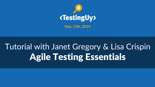

**May 15th, 2019**

## Tutorial with Janet Gregory & Lisa Crispin Agile Testing Essentials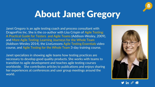

#### About Janet Gregory

Janet Gregory is an agile testing coach and process consultant with DragonFire Inc. She is the co-author with Lisa Crispin of Agile Testing: A Practical Guide for Testers and Agile Teams (Addison-Wesley, 2009), and More Agile Testing: Learning Journeys for the Whole Team (Addison-Wesley 2014), the LiveLessons Agile Testing Essentials video course, and Agile Testing for the Whole Team 3-day training course.

Janet specializes in showing agile teams how testing practices are necessary to develop good quality products. She works with teams to transition to agile development and teaches agile testing courses worldwide. She contributes articles to publications and enjoys sharing her experiences at conferences and user group meetings around the world.



in  $\mathscr{E}$   $\triangle$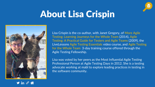

# About Lisa Crispin



Lisa Crispin is the co-author, with Janet Gregory, of More Agile Testing: Learning Journeys for the Whole Team (2014), Agile Testing: A Practical Guide for Testers and Agile Teams (2009), the LiveLessons Agile Testing Essentials video course, and Agile Testing for the Whole Team 3-day training course offered through the Agile Testing Fellowship.

Lisa was voted by her peers as the Most Influential Agile Testing Professional Person at Agile Testing Days in 2012. She is a testing advocate working at mabl to explore leading practices in testing in the software community.

**y** in  $\mathscr{C}$   $\mathscr{C}$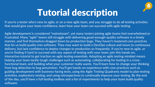

## Tutorial description

If you're a tester who's new to agile, or on a new agile team, and you struggle to do all testing activities that would give your team confidence, learn how your team can succeed with agile testing

Agile development is considered "mainstream", yet many testers joining agile teams feel overwhelmed or frustrated. Many "agile" teams still struggle with delivering good-enough-quality software in a timely manner, and find themselves dragged down by production bugs. They haven't mastered core practices that let us build quality into software. They may want to build a DevOps culture and move to continuous delivery, but lack confidence to deploy changes to production so frequently. If you're new to agile, or you're finding it hard to succeed with any aspect of testing with your team, join this hands-on, interactive tutorial to get traction on agile testing essentials. Adopting an agile testing mindset means helping your team tackle tough challenges such as automating, collaborating for testing in a crossfunctional team, and building what your customer really wants. You'll learn how to change your thinking from bug detection to bug prevention. You'll get hands-on experience with core practices such as guiding development with business-facing tests, using the Agile Testing Quadrants model to plan testing activities, exploratory testing, and using retrospectives to continually improve your testing. By the end of the day, you'll have a full testing toolbox and a list of experiments to help your team build quality software.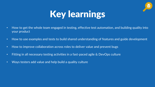

# Key learnings

- How to get the whole team engaged in testing, effective test automation, and building quality into your product
- How to use examples and tests to build shared understanding of features and guide development
- How to improve collaboration across roles to deliver value and prevent bugs
- Fitting in all necessary testing activities in a fast-paced agile & DevOps culture
- Ways testers add value and help build a quality culture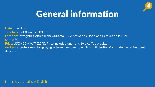

### General information

Date: May 15th Timetable: 9:00 am to 5:00 pm Location: Infragistics' office (Echevarriarza 3333 between Osorio and Pereyra de la Luz) Spots: 30 Price: USD 430 + VAT (22%). Price includes lunch and two coffee breaks. Audience: testers new to agile, agile team members struggling with testing & confidence on frequent delivery.